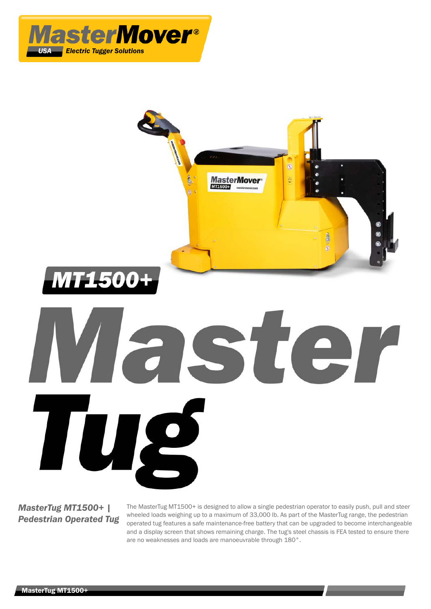



ST

# *MasterTug MT1500+ | Pedestrian Operated Tug*

TU

The MasterTug MT1500+ is designed to allow a single pedestrian operator to easily push, pull and steer wheeled loads weighing up to a maximum of 33,000 lb. As part of the MasterTug range, the pedestrian operated tug features a safe maintenance-free battery that can be upgraded to become interchangeable and a display screen that shows remaining charge. The tug's steel chassis is FEA tested to ensure there are no weaknesses and loads are manoeuvrable through 180°.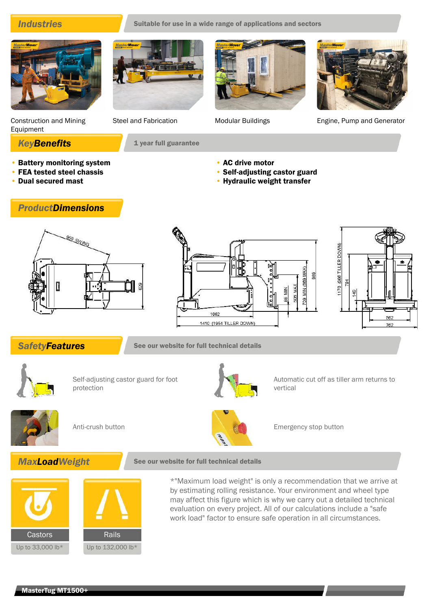**Industries** Suitable for use in a wide range of applications and sectors







Construction and Mining Equipment

- Battery monitoring system
- FEA tested steel chassis

*ProductDimensions*

• Dual secured mast

**KeyBenefits** 1 year full guarantee

Steel and Fabrication Modular Buildings Engine, Pump and Generator

- AC drive motor
- Self-adjusting castor guard
- Hydraulic weight transfer







**SafetyFeatures** See our website for full technical details



Self-adjusting castor guard for foot protection



Automatic cut off as tiller arm returns to vertical





Anti-crush button **Emergency stop button** Emergency stop button





\*"Maximum load weight" is only a recommendation that we arrive at by estimating rolling resistance. Your environment and wheel type may affect this figure which is why we carry out a detailed technical evaluation on every project. All of our calculations include a "safe work load" factor to ensure safe operation in all circumstances.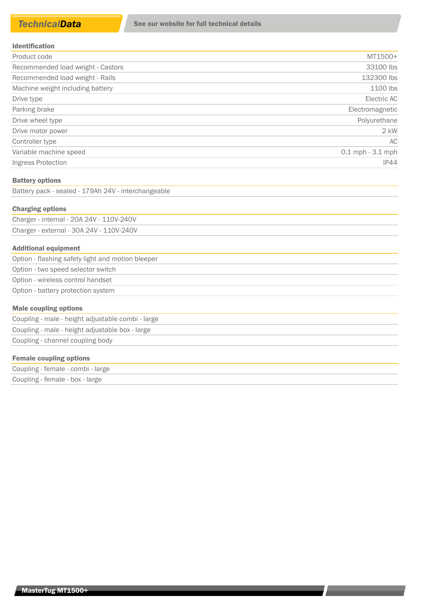| Product code                      | MT1500+              |
|-----------------------------------|----------------------|
| Recommended load weight - Castors | 33100 lbs            |
| Recommended load weight - Rails   | 132300 lbs           |
| Machine weight including battery  | 1100 lbs             |
| Drive type                        | Electric AC          |
| Parking brake                     | Electromagnetic      |
| Drive wheel type                  | Polyurethane         |
| Drive motor power                 | $2$ kW               |
| Controller type                   | AC.                  |
| Variable machine speed            | $0.1$ mph $-3.1$ mph |
| Ingress Protection                | IP44                 |

### Battery options

Battery pack - sealed - 179Ah 24V - interchangeable

### Charging options

Charger - internal - 20A 24V - 110V-240V Charger - external - 30A 24V - 110V-240V

### Additional equipment

| Option - flashing safety light and motion bleeper |
|---------------------------------------------------|
| Option - two speed selector switch                |
| Option - wireless control handset                 |
| Option - battery protection system                |
|                                                   |

## Male coupling options

| Coupling - male - height adjustable combi - large |  |
|---------------------------------------------------|--|
| Coupling - male - height adjustable box - large   |  |
| Coupling - channel coupling body                  |  |

### Female coupling options

| Coupling - female - combi - large |  |
|-----------------------------------|--|
| Coupling - female - box - large   |  |